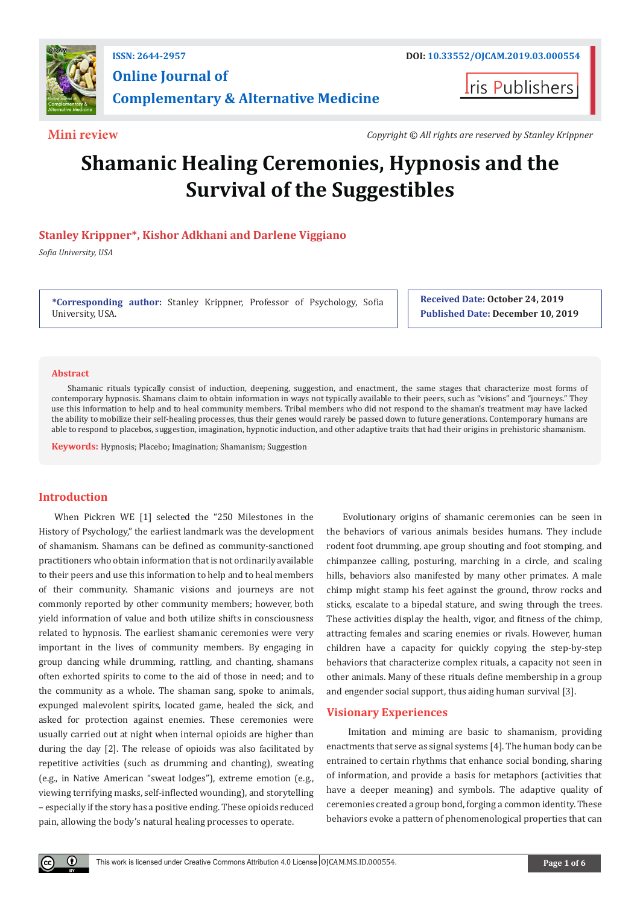

**Online Journal of Complementary & Alternative Medicine**

**Iris Publishers** 

**Mini review** *Copyright © All rights are reserved by Stanley Krippner*

# **Shamanic Healing Ceremonies, Hypnosis and the Survival of the Suggestibles**

# **Stanley Krippner\*, Kishor Adkhani and Darlene Viggiano**

*Sofia University, USA*

**\*Corresponding author:** Stanley Krippner, Professor of Psychology, Sofia University, USA.

**Received Date: October 24, 2019 Published Date: December 10, 2019**

#### **Abstract**

Shamanic rituals typically consist of induction, deepening, suggestion, and enactment, the same stages that characterize most forms of contemporary hypnosis. Shamans claim to obtain information in ways not typically available to their peers, such as "visions" and "journeys." They use this information to help and to heal community members. Tribal members who did not respond to the shaman's treatment may have lacked the ability to mobilize their self-healing processes, thus their genes would rarely be passed down to future generations. Contemporary humans are able to respond to placebos, suggestion, imagination, hypnotic induction, and other adaptive traits that had their origins in prehistoric shamanism.

**Keywords:** Hypnosis; Placebo; Imagination; Shamanism; Suggestion

# **Introduction**

When Pickren WE [1] selected the "250 Milestones in the History of Psychology," the earliest landmark was the development of shamanism. Shamans can be defined as community-sanctioned practitioners who obtain information that is not ordinarily available to their peers and use this information to help and to heal members of their community. Shamanic visions and journeys are not commonly reported by other community members; however, both yield information of value and both utilize shifts in consciousness related to hypnosis. The earliest shamanic ceremonies were very important in the lives of community members. By engaging in group dancing while drumming, rattling, and chanting, shamans often exhorted spirits to come to the aid of those in need; and to the community as a whole. The shaman sang, spoke to animals, expunged malevolent spirits, located game, healed the sick, and asked for protection against enemies. These ceremonies were usually carried out at night when internal opioids are higher than during the day [2]. The release of opioids was also facilitated by repetitive activities (such as drumming and chanting), sweating (e.g., in Native American "sweat lodges"), extreme emotion (e.g., viewing terrifying masks, self-inflected wounding), and storytelling – especially if the story has a positive ending. These opioids reduced pain, allowing the body's natural healing processes to operate.

Evolutionary origins of shamanic ceremonies can be seen in the behaviors of various animals besides humans. They include rodent foot drumming, ape group shouting and foot stomping, and chimpanzee calling, posturing, marching in a circle, and scaling hills, behaviors also manifested by many other primates. A male chimp might stamp his feet against the ground, throw rocks and sticks, escalate to a bipedal stature, and swing through the trees. These activities display the health, vigor, and fitness of the chimp, attracting females and scaring enemies or rivals. However, human children have a capacity for quickly copying the step-by-step behaviors that characterize complex rituals, a capacity not seen in other animals. Many of these rituals define membership in a group and engender social support, thus aiding human survival [3].

# **Visionary Experiences**

 Imitation and miming are basic to shamanism, providing enactments that serve as signal systems [4]. The human body can be entrained to certain rhythms that enhance social bonding, sharing of information, and provide a basis for metaphors (activities that have a deeper meaning) and symbols. The adaptive quality of ceremonies created a group bond, forging a common identity. These behaviors evoke a pattern of phenomenological properties that can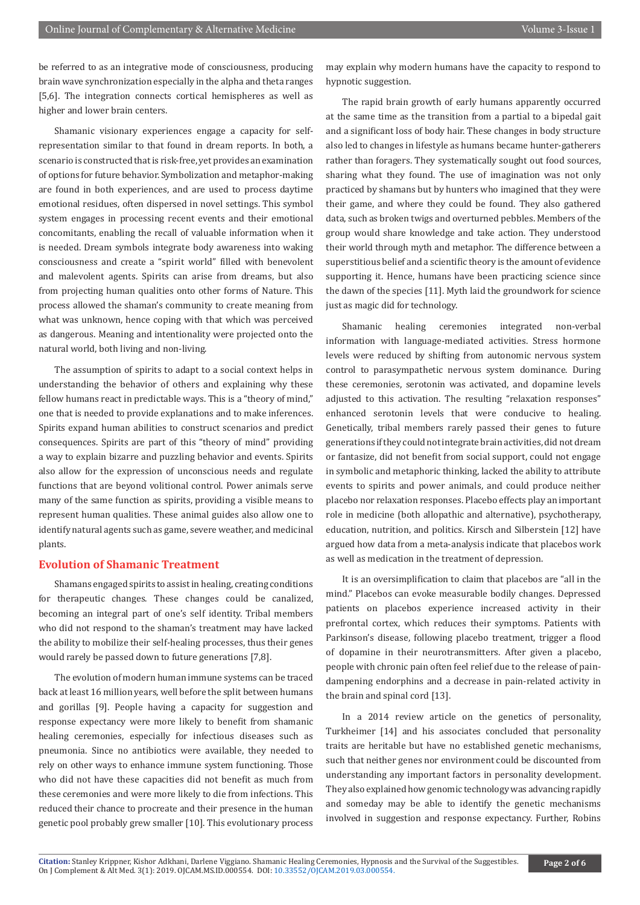be referred to as an integrative mode of consciousness, producing brain wave synchronization especially in the alpha and theta ranges [5,6]. The integration connects cortical hemispheres as well as higher and lower brain centers.

Shamanic visionary experiences engage a capacity for selfrepresentation similar to that found in dream reports. In both, a scenario is constructed that is risk-free, yet provides an examination of options for future behavior. Symbolization and metaphor-making are found in both experiences, and are used to process daytime emotional residues, often dispersed in novel settings. This symbol system engages in processing recent events and their emotional concomitants, enabling the recall of valuable information when it is needed. Dream symbols integrate body awareness into waking consciousness and create a "spirit world" filled with benevolent and malevolent agents. Spirits can arise from dreams, but also from projecting human qualities onto other forms of Nature. This process allowed the shaman's community to create meaning from what was unknown, hence coping with that which was perceived as dangerous. Meaning and intentionality were projected onto the natural world, both living and non-living.

The assumption of spirits to adapt to a social context helps in understanding the behavior of others and explaining why these fellow humans react in predictable ways. This is a "theory of mind," one that is needed to provide explanations and to make inferences. Spirits expand human abilities to construct scenarios and predict consequences. Spirits are part of this "theory of mind" providing a way to explain bizarre and puzzling behavior and events. Spirits also allow for the expression of unconscious needs and regulate functions that are beyond volitional control. Power animals serve many of the same function as spirits, providing a visible means to represent human qualities. These animal guides also allow one to identify natural agents such as game, severe weather, and medicinal plants.

### **Evolution of Shamanic Treatment**

Shamans engaged spirits to assist in healing, creating conditions for therapeutic changes. These changes could be canalized, becoming an integral part of one's self identity. Tribal members who did not respond to the shaman's treatment may have lacked the ability to mobilize their self-healing processes, thus their genes would rarely be passed down to future generations [7,8].

The evolution of modern human immune systems can be traced back at least 16 million years, well before the split between humans and gorillas [9]. People having a capacity for suggestion and response expectancy were more likely to benefit from shamanic healing ceremonies, especially for infectious diseases such as pneumonia. Since no antibiotics were available, they needed to rely on other ways to enhance immune system functioning. Those who did not have these capacities did not benefit as much from these ceremonies and were more likely to die from infections. This reduced their chance to procreate and their presence in the human genetic pool probably grew smaller [10]. This evolutionary process

may explain why modern humans have the capacity to respond to hypnotic suggestion.

The rapid brain growth of early humans apparently occurred at the same time as the transition from a partial to a bipedal gait and a significant loss of body hair. These changes in body structure also led to changes in lifestyle as humans became hunter-gatherers rather than foragers. They systematically sought out food sources, sharing what they found. The use of imagination was not only practiced by shamans but by hunters who imagined that they were their game, and where they could be found. They also gathered data, such as broken twigs and overturned pebbles. Members of the group would share knowledge and take action. They understood their world through myth and metaphor. The difference between a superstitious belief and a scientific theory is the amount of evidence supporting it. Hence, humans have been practicing science since the dawn of the species [11]. Myth laid the groundwork for science just as magic did for technology.

Shamanic healing ceremonies integrated non-verbal information with language-mediated activities. Stress hormone levels were reduced by shifting from autonomic nervous system control to parasympathetic nervous system dominance. During these ceremonies, serotonin was activated, and dopamine levels adjusted to this activation. The resulting "relaxation responses" enhanced serotonin levels that were conducive to healing. Genetically, tribal members rarely passed their genes to future generations if they could not integrate brain activities, did not dream or fantasize, did not benefit from social support, could not engage in symbolic and metaphoric thinking, lacked the ability to attribute events to spirits and power animals, and could produce neither placebo nor relaxation responses. Placebo effects play an important role in medicine (both allopathic and alternative), psychotherapy, education, nutrition, and politics. Kirsch and Silberstein [12] have argued how data from a meta-analysis indicate that placebos work as well as medication in the treatment of depression.

It is an oversimplification to claim that placebos are "all in the mind." Placebos can evoke measurable bodily changes. Depressed patients on placebos experience increased activity in their prefrontal cortex, which reduces their symptoms. Patients with Parkinson's disease, following placebo treatment, trigger a flood of dopamine in their neurotransmitters. After given a placebo, people with chronic pain often feel relief due to the release of paindampening endorphins and a decrease in pain-related activity in the brain and spinal cord [13].

In a 2014 review article on the genetics of personality, Turkheimer [14] and his associates concluded that personality traits are heritable but have no established genetic mechanisms, such that neither genes nor environment could be discounted from understanding any important factors in personality development. They also explained how genomic technology was advancing rapidly and someday may be able to identify the genetic mechanisms involved in suggestion and response expectancy. Further, Robins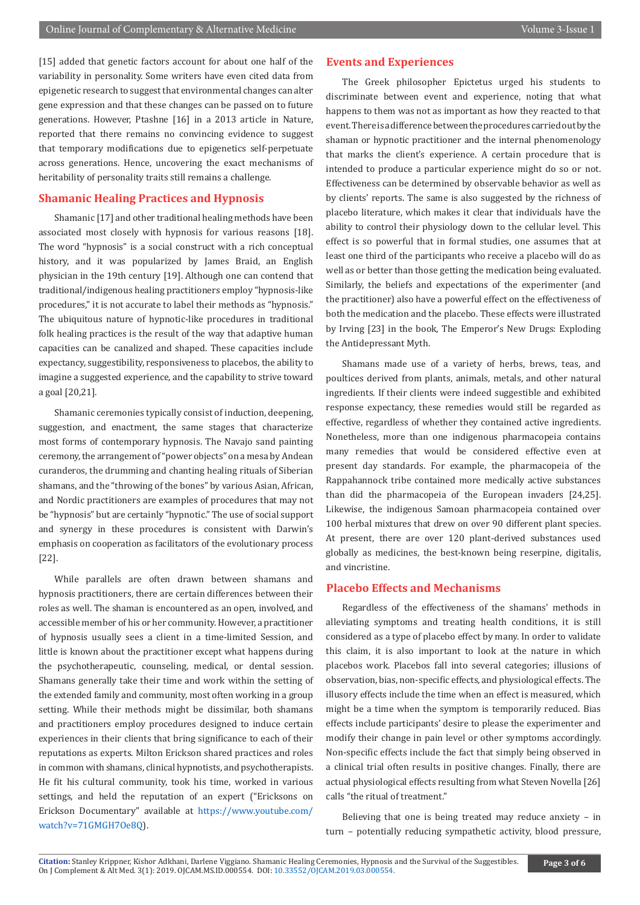[15] added that genetic factors account for about one half of the variability in personality. Some writers have even cited data from epigenetic research to suggest that environmental changes can alter gene expression and that these changes can be passed on to future generations. However, Ptashne [16] in a 2013 article in Nature, reported that there remains no convincing evidence to suggest that temporary modifications due to epigenetics self-perpetuate across generations. Hence, uncovering the exact mechanisms of heritability of personality traits still remains a challenge.

### **Shamanic Healing Practices and Hypnosis**

Shamanic [17] and other traditional healing methods have been associated most closely with hypnosis for various reasons [18]. The word "hypnosis" is a social construct with a rich conceptual history, and it was popularized by James Braid, an English physician in the 19th century [19]. Although one can contend that traditional/indigenous healing practitioners employ "hypnosis-like procedures," it is not accurate to label their methods as "hypnosis." The ubiquitous nature of hypnotic-like procedures in traditional folk healing practices is the result of the way that adaptive human capacities can be canalized and shaped. These capacities include expectancy, suggestibility, responsiveness to placebos, the ability to imagine a suggested experience, and the capability to strive toward a goal [20,21].

Shamanic ceremonies typically consist of induction, deepening, suggestion, and enactment, the same stages that characterize most forms of contemporary hypnosis. The Navajo sand painting ceremony, the arrangement of "power objects" on a mesa by Andean curanderos, the drumming and chanting healing rituals of Siberian shamans, and the "throwing of the bones" by various Asian, African, and Nordic practitioners are examples of procedures that may not be "hypnosis" but are certainly "hypnotic." The use of social support and synergy in these procedures is consistent with Darwin's emphasis on cooperation as facilitators of the evolutionary process [22].

While parallels are often drawn between shamans and hypnosis practitioners, there are certain differences between their roles as well. The shaman is encountered as an open, involved, and accessible member of his or her community. However, a practitioner of hypnosis usually sees a client in a time-limited Session, and little is known about the practitioner except what happens during the psychotherapeutic, counseling, medical, or dental session. Shamans generally take their time and work within the setting of the extended family and community, most often working in a group setting. While their methods might be dissimilar, both shamans and practitioners employ procedures designed to induce certain experiences in their clients that bring significance to each of their reputations as experts. Milton Erickson shared practices and roles in common with shamans, clinical hypnotists, and psychotherapists. He fit his cultural community, took his time, worked in various settings, and held the reputation of an expert ("Ericksons on Erickson Documentary" available at [https://www.youtube.com/](https://www.youtube.com/watch?v=71GMGH7Oe8Q) [watch?v=71GMGH7Oe8Q](https://www.youtube.com/watch?v=71GMGH7Oe8Q)).

### **Events and Experiences**

The Greek philosopher Epictetus urged his students to discriminate between event and experience, noting that what happens to them was not as important as how they reacted to that event. There is a difference between the procedures carried out by the shaman or hypnotic practitioner and the internal phenomenology that marks the client's experience. A certain procedure that is intended to produce a particular experience might do so or not. Effectiveness can be determined by observable behavior as well as by clients' reports. The same is also suggested by the richness of placebo literature, which makes it clear that individuals have the ability to control their physiology down to the cellular level. This effect is so powerful that in formal studies, one assumes that at least one third of the participants who receive a placebo will do as well as or better than those getting the medication being evaluated. Similarly, the beliefs and expectations of the experimenter (and the practitioner) also have a powerful effect on the effectiveness of both the medication and the placebo. These effects were illustrated by Irving [23] in the book, The Emperor's New Drugs: Exploding the Antidepressant Myth.

Shamans made use of a variety of herbs, brews, teas, and poultices derived from plants, animals, metals, and other natural ingredients. If their clients were indeed suggestible and exhibited response expectancy, these remedies would still be regarded as effective, regardless of whether they contained active ingredients. Nonetheless, more than one indigenous pharmacopeia contains many remedies that would be considered effective even at present day standards. For example, the pharmacopeia of the Rappahannock tribe contained more medically active substances than did the pharmacopeia of the European invaders [24,25]. Likewise, the indigenous Samoan pharmacopeia contained over 100 herbal mixtures that drew on over 90 different plant species. At present, there are over 120 plant-derived substances used globally as medicines, the best-known being reserpine, digitalis, and vincristine.

## **Placebo Effects and Mechanisms**

Regardless of the effectiveness of the shamans' methods in alleviating symptoms and treating health conditions, it is still considered as a type of placebo effect by many. In order to validate this claim, it is also important to look at the nature in which placebos work. Placebos fall into several categories; illusions of observation, bias, non-specific effects, and physiological effects. The illusory effects include the time when an effect is measured, which might be a time when the symptom is temporarily reduced. Bias effects include participants' desire to please the experimenter and modify their change in pain level or other symptoms accordingly. Non-specific effects include the fact that simply being observed in a clinical trial often results in positive changes. Finally, there are actual physiological effects resulting from what Steven Novella [26] calls "the ritual of treatment."

Believing that one is being treated may reduce anxiety – in turn – potentially reducing sympathetic activity, blood pressure,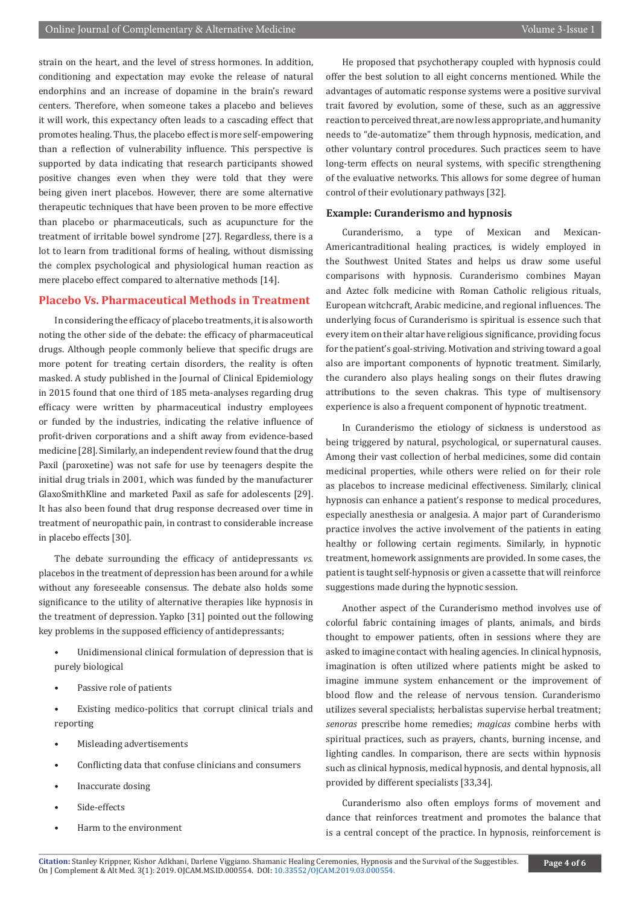strain on the heart, and the level of stress hormones. In addition, conditioning and expectation may evoke the release of natural endorphins and an increase of dopamine in the brain's reward centers. Therefore, when someone takes a placebo and believes it will work, this expectancy often leads to a cascading effect that promotes healing. Thus, the placebo effect is more self-empowering than a reflection of vulnerability influence. This perspective is supported by data indicating that research participants showed positive changes even when they were told that they were being given inert placebos. However, there are some alternative therapeutic techniques that have been proven to be more effective than placebo or pharmaceuticals, such as acupuncture for the treatment of irritable bowel syndrome [27]. Regardless, there is a lot to learn from traditional forms of healing, without dismissing the complex psychological and physiological human reaction as mere placebo effect compared to alternative methods [14].

# **Placebo Vs. Pharmaceutical Methods in Treatment**

In considering the efficacy of placebo treatments, it is also worth noting the other side of the debate: the efficacy of pharmaceutical drugs. Although people commonly believe that specific drugs are more potent for treating certain disorders, the reality is often masked. A study published in the Journal of Clinical Epidemiology in 2015 found that one third of 185 meta-analyses regarding drug efficacy were written by pharmaceutical industry employees or funded by the industries, indicating the relative influence of profit-driven corporations and a shift away from evidence-based medicine [28]. Similarly, an independent review found that the drug Paxil (paroxetine) was not safe for use by teenagers despite the initial drug trials in 2001, which was funded by the manufacturer GlaxoSmithKline and marketed Paxil as safe for adolescents [29]. It has also been found that drug response decreased over time in treatment of neuropathic pain, in contrast to considerable increase in placebo effects [30].

The debate surrounding the efficacy of antidepressants *vs.* placebos in the treatment of depression has been around for a while without any foreseeable consensus. The debate also holds some significance to the utility of alternative therapies like hypnosis in the treatment of depression. Yapko [31] pointed out the following key problems in the supposed efficiency of antidepressants;

- Unidimensional clinical formulation of depression that is purely biological
- Passive role of patients

Existing medico-politics that corrupt clinical trials and reporting

- Misleading advertisements
- Conflicting data that confuse clinicians and consumers
- Inaccurate dosing
- Side-effects
- Harm to the environment

He proposed that psychotherapy coupled with hypnosis could offer the best solution to all eight concerns mentioned. While the advantages of automatic response systems were a positive survival trait favored by evolution, some of these, such as an aggressive reaction to perceived threat, are now less appropriate, and humanity needs to "de-automatize" them through hypnosis, medication, and other voluntary control procedures. Such practices seem to have long-term effects on neural systems, with specific strengthening of the evaluative networks. This allows for some degree of human control of their evolutionary pathways [32].

#### **Example: Curanderismo and hypnosis**

Curanderismo, a type of Mexican and Mexican-Americantraditional healing practices, is widely employed in the Southwest United States and helps us draw some useful comparisons with hypnosis. Curanderismo combines Mayan and Aztec folk medicine with Roman Catholic religious rituals, European witchcraft, Arabic medicine, and regional influences. The underlying focus of Curanderismo is spiritual is essence such that every item on their altar have religious significance, providing focus for the patient's goal-striving. Motivation and striving toward a goal also are important components of hypnotic treatment. Similarly, the curandero also plays healing songs on their flutes drawing attributions to the seven chakras. This type of multisensory experience is also a frequent component of hypnotic treatment.

In Curanderismo the etiology of sickness is understood as being triggered by natural, psychological, or supernatural causes. Among their vast collection of herbal medicines, some did contain medicinal properties, while others were relied on for their role as placebos to increase medicinal effectiveness. Similarly, clinical hypnosis can enhance a patient's response to medical procedures, especially anesthesia or analgesia. A major part of Curanderismo practice involves the active involvement of the patients in eating healthy or following certain regiments. Similarly, in hypnotic treatment, homework assignments are provided. In some cases, the patient is taught self-hypnosis or given a cassette that will reinforce suggestions made during the hypnotic session.

Another aspect of the Curanderismo method involves use of colorful fabric containing images of plants, animals, and birds thought to empower patients, often in sessions where they are asked to imagine contact with healing agencies. In clinical hypnosis, imagination is often utilized where patients might be asked to imagine immune system enhancement or the improvement of blood flow and the release of nervous tension. Curanderismo utilizes several specialists; herbalistas supervise herbal treatment; *senoras* prescribe home remedies; *magicas* combine herbs with spiritual practices, such as prayers, chants, burning incense, and lighting candles. In comparison, there are sects within hypnosis such as clinical hypnosis, medical hypnosis, and dental hypnosis, all provided by different specialists [33,34].

Curanderismo also often employs forms of movement and dance that reinforces treatment and promotes the balance that is a central concept of the practice. In hypnosis, reinforcement is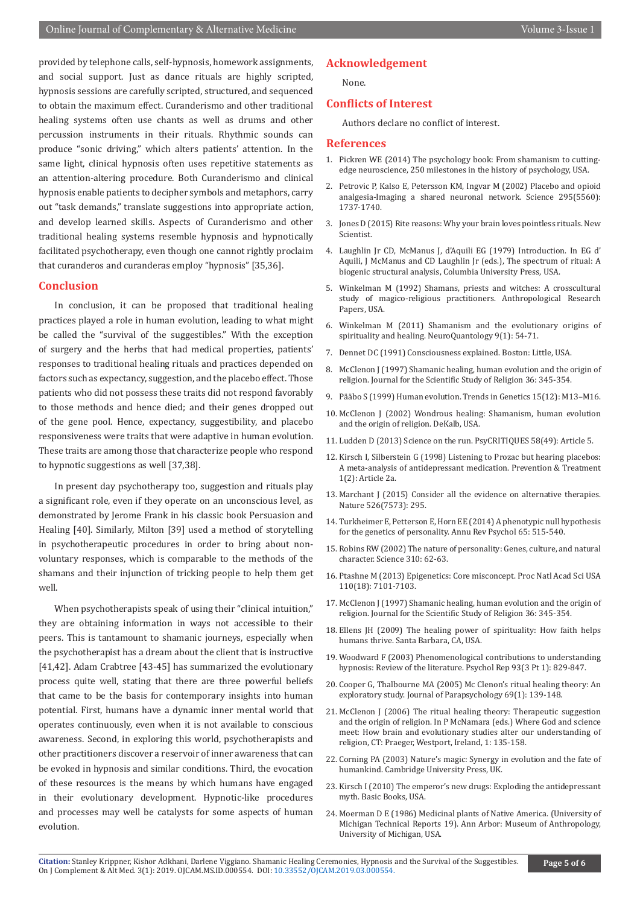provided by telephone calls, self-hypnosis, homework assignments, and social support. Just as dance rituals are highly scripted, hypnosis sessions are carefully scripted, structured, and sequenced to obtain the maximum effect. Curanderismo and other traditional healing systems often use chants as well as drums and other percussion instruments in their rituals. Rhythmic sounds can produce "sonic driving," which alters patients' attention. In the same light, clinical hypnosis often uses repetitive statements as an attention-altering procedure. Both Curanderismo and clinical hypnosis enable patients to decipher symbols and metaphors, carry out "task demands," translate suggestions into appropriate action, and develop learned skills. Aspects of Curanderismo and other traditional healing systems resemble hypnosis and hypnotically facilitated psychotherapy, even though one cannot rightly proclaim that curanderos and curanderas employ "hypnosis" [35,36].

#### **Conclusion**

In conclusion, it can be proposed that traditional healing practices played a role in human evolution, leading to what might be called the "survival of the suggestibles." With the exception of surgery and the herbs that had medical properties, patients' responses to traditional healing rituals and practices depended on factors such as expectancy, suggestion, and the placebo effect. Those patients who did not possess these traits did not respond favorably to those methods and hence died; and their genes dropped out of the gene pool. Hence, expectancy, suggestibility, and placebo responsiveness were traits that were adaptive in human evolution. These traits are among those that characterize people who respond to hypnotic suggestions as well [37,38].

In present day psychotherapy too, suggestion and rituals play a significant role, even if they operate on an unconscious level, as demonstrated by Jerome Frank in his classic book Persuasion and Healing [40]. Similarly, Milton [39] used a method of storytelling in psychotherapeutic procedures in order to bring about nonvoluntary responses, which is comparable to the methods of the shamans and their injunction of tricking people to help them get well.

When psychotherapists speak of using their "clinical intuition," they are obtaining information in ways not accessible to their peers. This is tantamount to shamanic journeys, especially when the psychotherapist has a dream about the client that is instructive [41,42]. Adam Crabtree [43-45] has summarized the evolutionary process quite well, stating that there are three powerful beliefs that came to be the basis for contemporary insights into human potential. First, humans have a dynamic inner mental world that operates continuously, even when it is not available to conscious awareness. Second, in exploring this world, psychotherapists and other practitioners discover a reservoir of inner awareness that can be evoked in hypnosis and similar conditions. Third, the evocation of these resources is the means by which humans have engaged in their evolutionary development. Hypnotic-like procedures and processes may well be catalysts for some aspects of human evolution.

# **Acknowledgement**

None.

# **Conflicts of Interest**

Authors declare no conflict of interest.

#### **References**

- 1. Pickren WE (2014) The psychology book: From shamanism to cuttingedge neuroscience, 250 milestones in the history of psychology, USA.
- 2. [Petrovic P, Kalso E, Petersson KM, Ingvar M \(2002\) Placebo and opioid](https://www.ncbi.nlm.nih.gov/pubmed/11834781) [analgesia-Imaging a shared neuronal network. Science 295\(5560\):](https://www.ncbi.nlm.nih.gov/pubmed/11834781) [1737-1740.](https://www.ncbi.nlm.nih.gov/pubmed/11834781)
- 3. Jones D (2015) Rite reasons: Why your brain loves pointless rituals. New Scientist.
- 4. Laughlin Jr CD, McManus J, d'Aquili EG (1979) Introduction. In EG d' Aquili, J McManus and CD Laughlin Jr (eds.), The spectrum of ritual: A biogenic structural analysis, Columbia University Press, USA.
- 5. Winkelman M (1992) Shamans, priests and witches: A crosscultural study of magico-religious practitioners. Anthropological Research Papers, USA.
- 6. Winkelman M (2011) Shamanism and the evolutionary origins of spirituality and healing. NeuroQuantology 9(1): 54-71.
- 7. Dennet DC (1991) Consciousness explained. Boston: Little, USA.
- 8. McClenon J (1997) Shamanic healing, human evolution and the origin of religion. Journal for the Scientific Study of Religion 36: 345-354.
- 9. Pääbo S (1999) Human evolution. Trends in Genetics 15(12): M13–M16.
- 10. McClenon J (2002) Wondrous healing: Shamanism, human evolution and the origin of religion. DeKalb, USA.
- 11. Ludden D (2013) Science on the run. PsyCRITIQUES 58(49): Article 5.
- 12. Kirsch I, Silberstein G (1998) Listening to Prozac but hearing placebos: A meta-analysis of antidepressant medication. Prevention & Treatment 1(2): Article 2a.
- 13. [Marchant J \(2015\) Consider all the evidence on alternative therapies.](https://www.ncbi.nlm.nih.gov/pubmed/26469005) [Nature 526\(7573\): 295.](https://www.ncbi.nlm.nih.gov/pubmed/26469005)
- 14. [Turkheimer E, Petterson E, Horn EE \(2014\) A phenotypic null hypothesis](https://www.ncbi.nlm.nih.gov/pubmed/24050184) [for the genetics of personality. Annu Rev Psychol 65: 515-540.](https://www.ncbi.nlm.nih.gov/pubmed/24050184)
- 15. Robins RW (2002) The nature of personality: Genes, culture, and natural character. Science 310: 62-63.
- 16. [Ptashne M \(2013\) Epigenetics: Core misconcept. Proc Natl Acad Sci USA](https://www.ncbi.nlm.nih.gov/pmc/articles/PMC3645541/) [110\(18\): 7101-7103.](https://www.ncbi.nlm.nih.gov/pmc/articles/PMC3645541/)
- 17. McClenon J (1997) Shamanic healing, human evolution and the origin of religion. Journal for the Scientific Study of Religion 36: 345-354.
- 18. Ellens JH (2009) The healing power of spirituality: How faith helps humans thrive. Santa Barbara, CA, USA.
- 19. [Woodward F \(2003\) Phenomenological contributions to understanding](https://www.ncbi.nlm.nih.gov/pubmed/14723451) [hypnosis: Review of the literature. Psychol Rep 93\(3 Pt 1\): 829-847.](https://www.ncbi.nlm.nih.gov/pubmed/14723451)
- 20. Cooper G, Thalbourne MA (2005) Mc Clenon's ritual healing theory: An exploratory study. Journal of Parapsychology 69(1): 139-148.
- 21. McClenon J (2006) The ritual healing theory: Therapeutic suggestion and the origin of religion. In P McNamara (eds.) Where God and science meet: How brain and evolutionary studies alter our understanding of religion, CT: Praeger, Westport, Ireland, 1: 135-158.
- 22. Corning PA (2003) Nature's magic: Synergy in evolution and the fate of humankind. Cambridge University Press, UK.
- 23. Kirsch I (2010) The emperor's new drugs: Exploding the antidepressant myth. Basic Books, USA.
- 24. Moerman D E (1986) Medicinal plants of Native America. (University of Michigan Technical Reports 19). Ann Arbor: Museum of Anthropology, University of Michigan, USA.